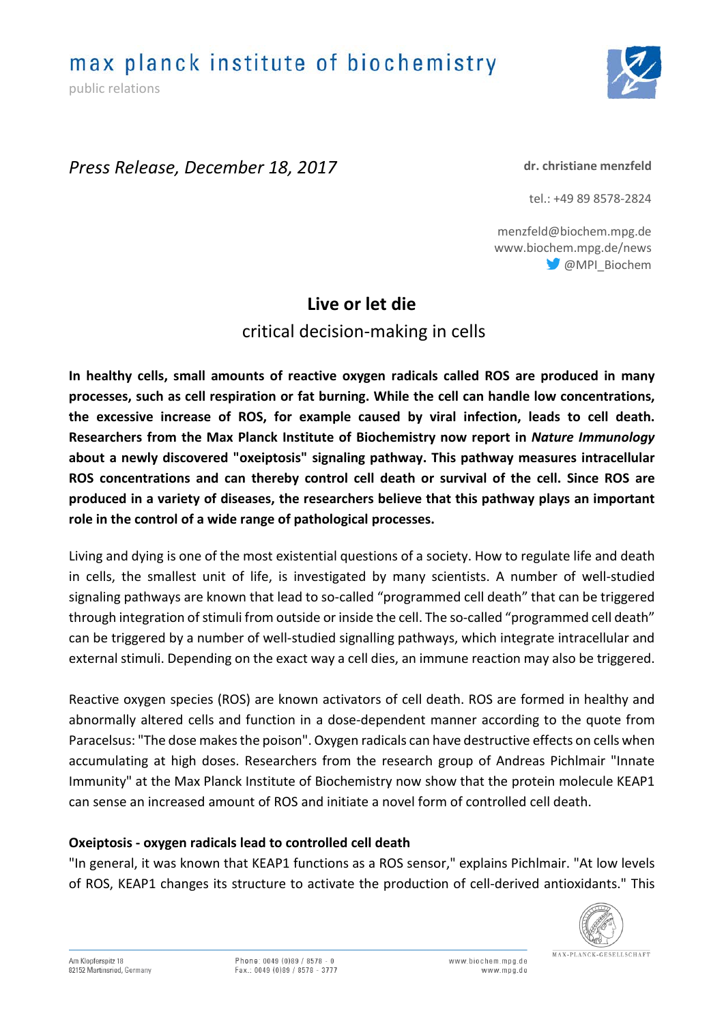max planck institute of biochemistry

public relations



## *Press Release, December 18, 2017*

#### **dr. christiane menzfeld**

tel.: +49 89 8578-2824

menzfeld@biochem.mpg.de www.biochem.mpg.de/news @MPI\_Biochem

# **Live or let die**

critical decision-making in cells

**In healthy cells, small amounts of reactive oxygen radicals called ROS are produced in many processes, such as cell respiration or fat burning. While the cell can handle low concentrations, the excessive increase of ROS, for example caused by viral infection, leads to cell death. Researchers from the Max Planck Institute of Biochemistry now report in** *Nature Immunology* **about a newly discovered "oxeiptosis" signaling pathway. This pathway measures intracellular ROS concentrations and can thereby control cell death or survival of the cell. Since ROS are produced in a variety of diseases, the researchers believe that this pathway plays an important role in the control of a wide range of pathological processes.**

Living and dying is one of the most existential questions of a society. How to regulate life and death in cells, the smallest unit of life, is investigated by many scientists. A number of well-studied signaling pathways are known that lead to so-called "programmed cell death" that can be triggered through integration of stimuli from outside or inside the cell. The so-called "programmed cell death" can be triggered by a number of well-studied signalling pathways, which integrate intracellular and external stimuli. Depending on the exact way a cell dies, an immune reaction may also be triggered.

Reactive oxygen species (ROS) are known activators of cell death. ROS are formed in healthy and abnormally altered cells and function in a dose-dependent manner according to the quote from Paracelsus: "The dose makes the poison". Oxygen radicals can have destructive effects on cells when accumulating at high doses. Researchers from the research group of Andreas Pichlmair "Innate Immunity" at the Max Planck Institute of Biochemistry now show that the protein molecule KEAP1 can sense an increased amount of ROS and initiate a novel form of controlled cell death.

### **Oxeiptosis - oxygen radicals lead to controlled cell death**

"In general, it was known that KEAP1 functions as a ROS sensor," explains Pichlmair. "At low levels of ROS, KEAP1 changes its structure to activate the production of cell-derived antioxidants." This



Am Klopferspitz 18 82152 Martinsried, Germany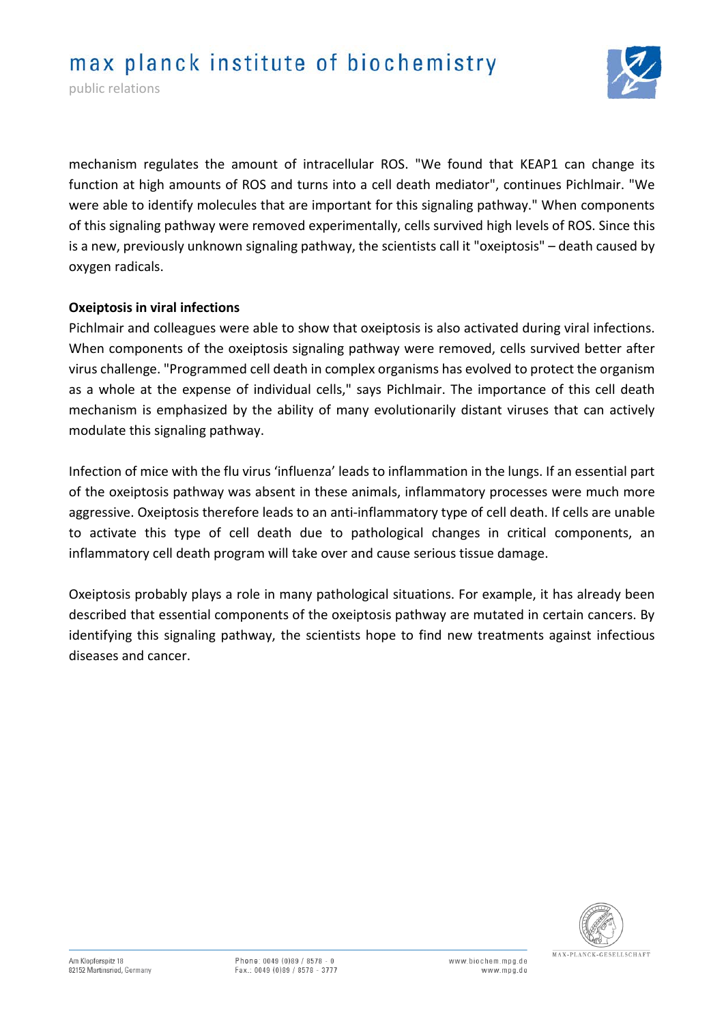public relations



mechanism regulates the amount of intracellular ROS. "We found that KEAP1 can change its function at high amounts of ROS and turns into a cell death mediator", continues Pichlmair. "We were able to identify molecules that are important for this signaling pathway." When components of this signaling pathway were removed experimentally, cells survived high levels of ROS. Since this is a new, previously unknown signaling pathway, the scientists call it "oxeiptosis" – death caused by oxygen radicals.

### **Oxeiptosis in viral infections**

Pichlmair and colleagues were able to show that oxeiptosis is also activated during viral infections. When components of the oxeiptosis signaling pathway were removed, cells survived better after virus challenge. "Programmed cell death in complex organisms has evolved to protect the organism as a whole at the expense of individual cells," says Pichlmair. The importance of this cell death mechanism is emphasized by the ability of many evolutionarily distant viruses that can actively modulate this signaling pathway.

Infection of mice with the flu virus 'influenza' leads to inflammation in the lungs. If an essential part of the oxeiptosis pathway was absent in these animals, inflammatory processes were much more aggressive. Oxeiptosis therefore leads to an anti-inflammatory type of cell death. If cells are unable to activate this type of cell death due to pathological changes in critical components, an inflammatory cell death program will take over and cause serious tissue damage.

Oxeiptosis probably plays a role in many pathological situations. For example, it has already been described that essential components of the oxeiptosis pathway are mutated in certain cancers. By identifying this signaling pathway, the scientists hope to find new treatments against infectious diseases and cancer.

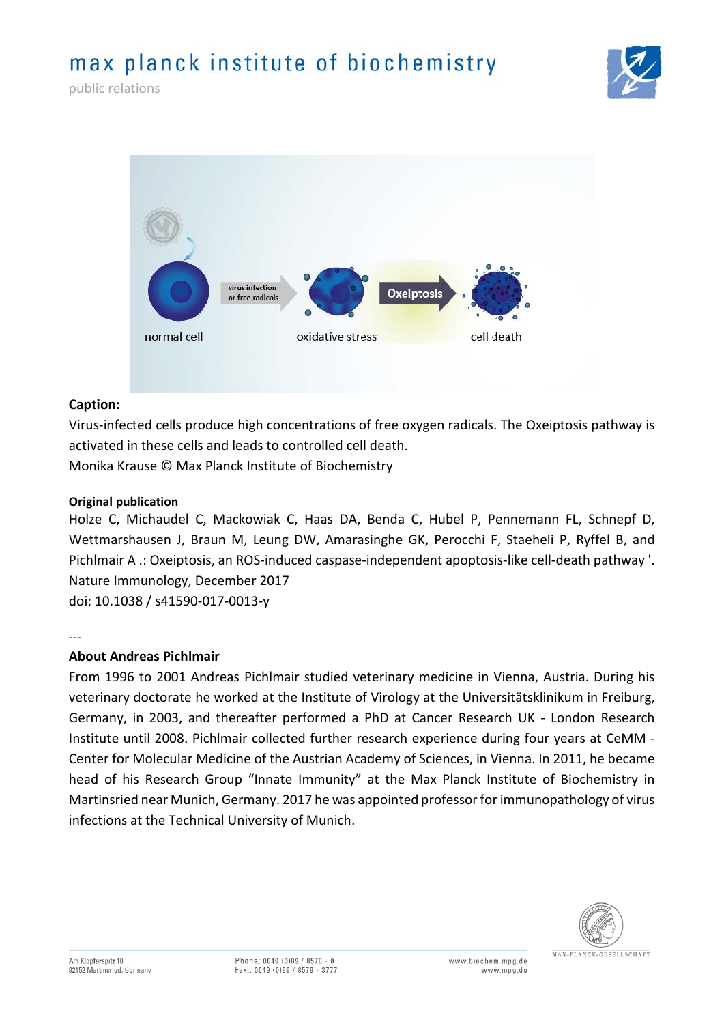# max planck institute of biochemistry



public relations



#### **Caption:**

Virus-infected cells produce high concentrations of free oxygen radicals. The Oxeiptosis pathway is activated in these cells and leads to controlled cell death. Monika Krause © Max Planck Institute of Biochemistry

#### **Original publication**

Holze C, Michaudel C, Mackowiak C, Haas DA, Benda C, Hubel P, Pennemann FL, Schnepf D, Wettmarshausen J, Braun M, Leung DW, Amarasinghe GK, Perocchi F, Staeheli P, Ryffel B, and Pichlmair A .: Oxeiptosis, an ROS-induced caspase-independent apoptosis-like cell-death pathway '. Nature Immunology, December 2017 doi: 10.1038 / s41590-017-0013-y

---

#### **About Andreas Pichlmair**

From 1996 to 2001 Andreas Pichlmair studied veterinary medicine in Vienna, Austria. During his veterinary doctorate he worked at the Institute of Virology at the Universitätsklinikum in Freiburg, Germany, in 2003, and thereafter performed a PhD at Cancer Research UK - London Research Institute until 2008. Pichlmair collected further research experience during four years at CeMM - Center for Molecular Medicine of the Austrian Academy of Sciences, in Vienna. In 2011, he became head of his Research Group "Innate Immunity" at the Max Planck Institute of Biochemistry in Martinsried near Munich, Germany. 2017 he was appointed professor for immunopathology of virus infections at the Technical University of Munich.